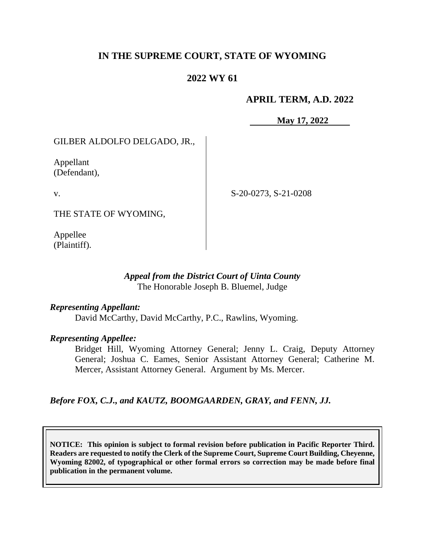# **IN THE SUPREME COURT, STATE OF WYOMING**

# **2022 WY 61**

### **APRIL TERM, A.D. 2022**

**May 17, 2022**

GILBER ALDOLFO DELGADO, JR.,

Appellant (Defendant),

v.

S-20-0273, S-21-0208

THE STATE OF WYOMING,

Appellee (Plaintiff).

### *Appeal from the District Court of Uinta County* The Honorable Joseph B. Bluemel, Judge

#### *Representing Appellant:*

David McCarthy, David McCarthy, P.C., Rawlins, Wyoming.

#### *Representing Appellee:*

Bridget Hill, Wyoming Attorney General; Jenny L. Craig, Deputy Attorney General; Joshua C. Eames, Senior Assistant Attorney General; Catherine M. Mercer, Assistant Attorney General. Argument by Ms. Mercer.

*Before FOX, C.J., and KAUTZ, BOOMGAARDEN, GRAY, and FENN, JJ.*

**NOTICE: This opinion is subject to formal revision before publication in Pacific Reporter Third. Readers are requested to notify the Clerk of the Supreme Court, Supreme Court Building, Cheyenne, Wyoming 82002, of typographical or other formal errors so correction may be made before final publication in the permanent volume.**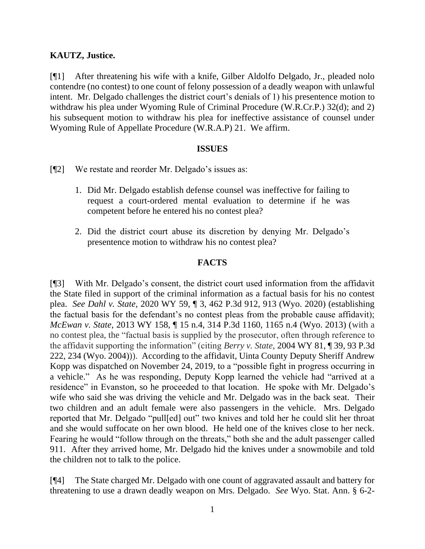## **KAUTZ, Justice.**

[¶1] After threatening his wife with a knife, Gilber Aldolfo Delgado, Jr., pleaded nolo contendre (no contest) to one count of felony possession of a deadly weapon with unlawful intent. Mr. Delgado challenges the district court's denials of 1) his presentence motion to withdraw his plea under Wyoming Rule of Criminal Procedure (W.R.Cr.P.) 32(d); and 2) his subsequent motion to withdraw his plea for ineffective assistance of counsel under Wyoming Rule of Appellate Procedure (W.R.A.P) 21. We affirm.

#### **ISSUES**

- [¶2] We restate and reorder Mr. Delgado's issues as:
	- 1. Did Mr. Delgado establish defense counsel was ineffective for failing to request a court-ordered mental evaluation to determine if he was competent before he entered his no contest plea?
	- 2. Did the district court abuse its discretion by denying Mr. Delgado's presentence motion to withdraw his no contest plea?

### **FACTS**

[¶3] With Mr. Delgado's consent, the district court used information from the affidavit the State filed in support of the criminal information as a factual basis for his no contest plea. *See Dahl v. State,* 2020 WY 59, ¶ 3, 462 P.3d 912, 913 (Wyo. 2020) (establishing the factual basis for the defendant's no contest pleas from the probable cause affidavit); *McEwan v. State,* 2013 WY 158, ¶ 15 n.4, 314 P.3d 1160, 1165 n.4 (Wyo. 2013) (with a no contest plea, the "factual basis is supplied by the prosecutor, often through reference to the affidavit supporting the information" (citing *Berry v. State,* 2004 WY 81, ¶ 39, 93 P.3d 222, 234 (Wyo. 2004))). According to the affidavit, Uinta County Deputy Sheriff Andrew Kopp was dispatched on November 24, 2019, to a "possible fight in progress occurring in a vehicle." As he was responding, Deputy Kopp learned the vehicle had "arrived at a residence" in Evanston, so he proceeded to that location. He spoke with Mr. Delgado's wife who said she was driving the vehicle and Mr. Delgado was in the back seat. Their two children and an adult female were also passengers in the vehicle. Mrs. Delgado reported that Mr. Delgado "pull[ed] out" two knives and told her he could slit her throat and she would suffocate on her own blood. He held one of the knives close to her neck. Fearing he would "follow through on the threats," both she and the adult passenger called 911. After they arrived home, Mr. Delgado hid the knives under a snowmobile and told the children not to talk to the police.

[¶4] The State charged Mr. Delgado with one count of aggravated assault and battery for threatening to use a drawn deadly weapon on Mrs. Delgado. *See* Wyo. Stat. Ann. § 6-2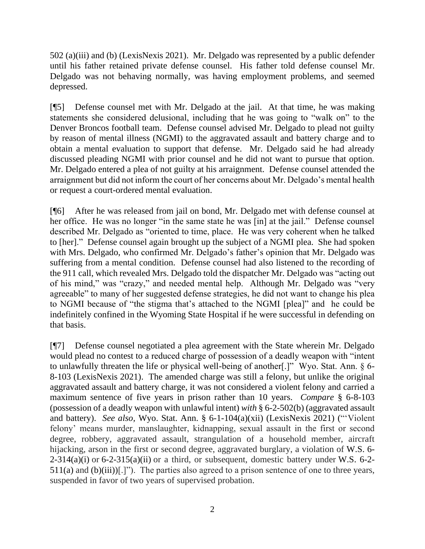502 (a)(iii) and (b) (LexisNexis 2021). Mr. Delgado was represented by a public defender until his father retained private defense counsel. His father told defense counsel Mr. Delgado was not behaving normally, was having employment problems, and seemed depressed.

[¶5] Defense counsel met with Mr. Delgado at the jail. At that time, he was making statements she considered delusional, including that he was going to "walk on" to the Denver Broncos football team. Defense counsel advised Mr. Delgado to plead not guilty by reason of mental illness (NGMI) to the aggravated assault and battery charge and to obtain a mental evaluation to support that defense. Mr. Delgado said he had already discussed pleading NGMI with prior counsel and he did not want to pursue that option. Mr. Delgado entered a plea of not guilty at his arraignment. Defense counsel attended the arraignment but did not inform the court of her concerns about Mr. Delgado's mental health or request a court-ordered mental evaluation.

[¶6] After he was released from jail on bond, Mr. Delgado met with defense counsel at her office. He was no longer "in the same state he was [in] at the jail." Defense counsel described Mr. Delgado as "oriented to time, place. He was very coherent when he talked to [her]." Defense counsel again brought up the subject of a NGMI plea. She had spoken with Mrs. Delgado, who confirmed Mr. Delgado's father's opinion that Mr. Delgado was suffering from a mental condition. Defense counsel had also listened to the recording of the 911 call, which revealed Mrs. Delgado told the dispatcher Mr. Delgado was "acting out of his mind," was "crazy," and needed mental help. Although Mr. Delgado was "very agreeable" to many of her suggested defense strategies, he did not want to change his plea to NGMI because of "the stigma that's attached to the NGMI [plea]" and he could be indefinitely confined in the Wyoming State Hospital if he were successful in defending on that basis.

[¶7] Defense counsel negotiated a plea agreement with the State wherein Mr. Delgado would plead no contest to a reduced charge of possession of a deadly weapon with "intent to unlawfully threaten the life or physical well-being of another[.]" Wyo. Stat. Ann. § 6- 8-103 (LexisNexis 2021). The amended charge was still a felony, but unlike the original aggravated assault and battery charge, it was not considered a violent felony and carried a maximum sentence of five years in prison rather than 10 years. *Compare* § 6-8-103 (possession of a deadly weapon with unlawful intent) *with* § 6-2-502(b) (aggravated assault and battery). *See also,* Wyo. Stat. Ann. § 6-1-104(a)(xii) (LexisNexis 2021) ("'Violent felony' means murder, manslaughter, kidnapping, sexual assault in the first or second degree, robbery, aggravated assault, strangulation of a household member, aircraft hijacking, arson in the first or second degree, aggravated burglary, a violation of W.S. 6-  $2-314(a)(i)$  or  $6-2-315(a)(ii)$  or a third, or subsequent, domestic battery under W.S. 6-2- $511(a)$  and  $(b)(iii)$ [.]"). The parties also agreed to a prison sentence of one to three years, suspended in favor of two years of supervised probation.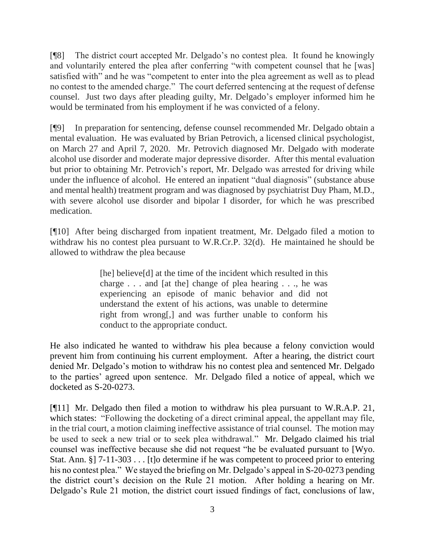[¶8] The district court accepted Mr. Delgado's no contest plea. It found he knowingly and voluntarily entered the plea after conferring "with competent counsel that he [was] satisfied with" and he was "competent to enter into the plea agreement as well as to plead no contest to the amended charge." The court deferred sentencing at the request of defense counsel. Just two days after pleading guilty, Mr. Delgado's employer informed him he would be terminated from his employment if he was convicted of a felony.

[¶9] In preparation for sentencing, defense counsel recommended Mr. Delgado obtain a mental evaluation. He was evaluated by Brian Petrovich, a licensed clinical psychologist, on March 27 and April 7, 2020. Mr. Petrovich diagnosed Mr. Delgado with moderate alcohol use disorder and moderate major depressive disorder. After this mental evaluation but prior to obtaining Mr. Petrovich's report, Mr. Delgado was arrested for driving while under the influence of alcohol. He entered an inpatient "dual diagnosis" (substance abuse and mental health) treatment program and was diagnosed by psychiatrist Duy Pham, M.D., with severe alcohol use disorder and bipolar I disorder, for which he was prescribed medication.

[¶10] After being discharged from inpatient treatment, Mr. Delgado filed a motion to withdraw his no contest plea pursuant to W.R.Cr.P. 32(d). He maintained he should be allowed to withdraw the plea because

> [he] believe[d] at the time of the incident which resulted in this charge . . . and [at the] change of plea hearing . . ., he was experiencing an episode of manic behavior and did not understand the extent of his actions, was unable to determine right from wrong[,] and was further unable to conform his conduct to the appropriate conduct.

He also indicated he wanted to withdraw his plea because a felony conviction would prevent him from continuing his current employment. After a hearing, the district court denied Mr. Delgado's motion to withdraw his no contest plea and sentenced Mr. Delgado to the parties' agreed upon sentence. Mr. Delgado filed a notice of appeal, which we docketed as S-20-0273.

[¶11] Mr. Delgado then filed a motion to withdraw his plea pursuant to W.R.A.P. 21, which states: "Following the docketing of a direct criminal appeal, the appellant may file, in the trial court, a motion claiming ineffective assistance of trial counsel. The motion may be used to seek a new trial or to seek plea withdrawal." Mr. Delgado claimed his trial counsel was ineffective because she did not request "he be evaluated pursuant to [Wyo. Stat. Ann. §] 7-11-303 . . . [t]o determine if he was competent to proceed prior to entering his no contest plea." We stayed the briefing on Mr. Delgado's appeal in S-20-0273 pending the district court's decision on the Rule 21 motion. After holding a hearing on Mr. Delgado's Rule 21 motion, the district court issued findings of fact, conclusions of law,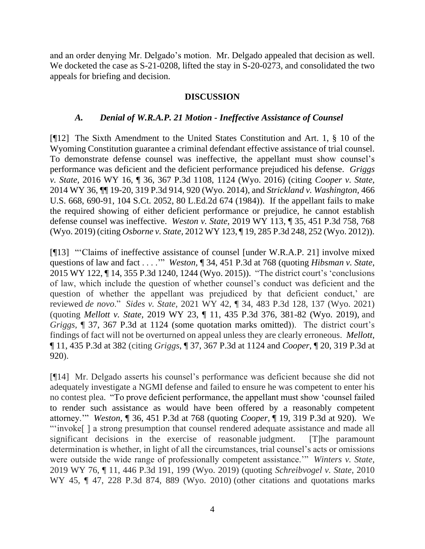and an order denying Mr. Delgado's motion. Mr. Delgado appealed that decision as well. We docketed the case as  $S-21-0208$ , lifted the stay in  $S-20-0273$ , and consolidated the two appeals for briefing and decision.

### **DISCUSSION**

#### *A. Denial of W.R.A.P. 21 Motion - Ineffective Assistance of Counsel*

[¶12] The Sixth Amendment to the United States Constitution and Art. 1, § 10 of the Wyoming Constitution guarantee a criminal defendant effective assistance of trial counsel. To demonstrate defense counsel was ineffective, the appellant must show counsel's performance was deficient and the deficient performance prejudiced his defense. *Griggs v. State,* 2016 WY 16, ¶ 36, 367 P.3d 1108, 1124 (Wyo. 2016) (citing *Cooper v. State,*  2014 WY 36, ¶¶ 19-20, 319 P.3d 914, 920 (Wyo. 2014), and *Strickland v. Washington,* 466 U.S. 668, 690-91, 104 S.Ct. 2052, 80 L.Ed.2d 674 (1984)). If the appellant fails to make the required showing of either deficient performance or prejudice, he cannot establish defense counsel was ineffective. *Weston v. State,* 2019 WY 113, ¶ 35, 451 P.3d 758, 768 (Wyo. 2019) (citing *Osborne v. State,* 2012 WY 123, ¶ 19, 285 P.3d 248, 252 (Wyo. 2012)).

[¶13] "'Claims of ineffective assistance of counsel [under W.R.A.P. 21] involve mixed questions of law and fact . . . .'" *Weston,* ¶ 34, 451 P.3d at 768 (quoting *Hibsman v. State*, 2015 WY 122, ¶ 14, 355 P.3d 1240, 1244 (Wyo. 2015)). "The district court's 'conclusions of law, which include the question of whether counsel's conduct was deficient and the question of whether the appellant was prejudiced by that deficient conduct,' are reviewed *de novo*." *Sides v. State,* 2021 WY 42, ¶ 34, 483 P.3d 128, 137 (Wyo. 2021) (quoting *Mellott v. State,* 2019 WY 23, ¶ 11, 435 P.3d 376, 381-82 (Wyo. 2019), and *Griggs,* ¶ 37, 367 P.3d at 1124 (some quotation marks omitted)). The district court's findings of fact will not be overturned on appeal unless they are clearly erroneous. *Mellott,*  ¶ 11, 435 P.3d at 382 (citing *Griggs*, ¶ 37, 367 P.3d at 1124 and *Cooper*, ¶ 20, 319 P.3d at 920).

[¶14] Mr. Delgado asserts his counsel's performance was deficient because she did not adequately investigate a NGMI defense and failed to ensure he was competent to enter his no contest plea. "To prove deficient performance, the appellant must show 'counsel failed to render such assistance as would have been offered by a reasonably competent attorney.'" *Weston,* ¶ 36, 451 P.3d at 768 (quoting *Cooper,* ¶ 19, 319 P.3d at 920). We "'invoke[ ] a strong presumption that counsel rendered adequate assistance and made all significant decisions in the exercise of reasonable judgment. [T]he paramount determination is whether, in light of all the circumstances, trial counsel's acts or omissions were outside the wide range of professionally competent assistance.'" *Winters v. State,* 2019 WY 76, ¶ 11, 446 P.3d 191, 199 (Wyo. 2019) (quoting *Schreibvogel v. State,* 2010 WY 45, ¶ 47, 228 P.3d 874, 889 (Wyo. 2010) (other citations and quotations marks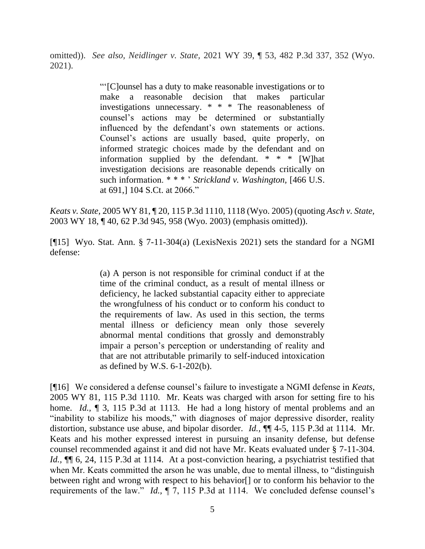omitted)). *See also, Neidlinger v. State,* 2021 WY 39, ¶ 53, 482 P.3d 337, 352 (Wyo. 2021).

> "'[C]ounsel has a duty to make reasonable investigations or to make a reasonable decision that makes particular investigations unnecessary. \* \* \* The reasonableness of counsel's actions may be determined or substantially influenced by the defendant's own statements or actions. Counsel's actions are usually based, quite properly, on informed strategic choices made by the defendant and on information supplied by the defendant. \* \* \* [W]hat investigation decisions are reasonable depends critically on such information. \* \* \* ' *Strickland v. Washington,* [466 U.S. at 691,] 104 S.Ct. at 2066."

*Keats v. State,* 2005 WY 81, ¶ 20, 115 P.3d 1110, 1118 (Wyo. 2005) (quoting *Asch v. State,* 2003 WY 18, ¶ 40, 62 P.3d 945, 958 (Wyo. 2003) (emphasis omitted)).

[¶15] Wyo. Stat. Ann. § 7-11-304(a) (LexisNexis 2021) sets the standard for a NGMI defense:

> (a) A person is not responsible for criminal conduct if at the time of the criminal conduct, as a result of mental illness or deficiency, he lacked substantial capacity either to appreciate the wrongfulness of his conduct or to conform his conduct to the requirements of law. As used in this section, the terms mental illness or deficiency mean only those severely abnormal mental conditions that grossly and demonstrably impair a person's perception or understanding of reality and that are not attributable primarily to self-induced intoxication as defined by W.S. 6-1-202(b).

[¶16] We considered a defense counsel's failure to investigate a NGMI defense in *Keats*, 2005 WY 81, 115 P.3d 1110. Mr. Keats was charged with arson for setting fire to his home. *Id.*, **[**] 3, 115 P.3d at 1113. He had a long history of mental problems and an "inability to stabilize his moods," with diagnoses of major depressive disorder, reality distortion, substance use abuse, and bipolar disorder. *Id.,* ¶¶ 4-5, 115 P.3d at 1114. Mr. Keats and his mother expressed interest in pursuing an insanity defense, but defense counsel recommended against it and did not have Mr. Keats evaluated under § 7-11-304. *Id.*, **[1]** 6, 24, 115 P.3d at 1114. At a post-conviction hearing, a psychiatrist testified that when Mr. Keats committed the arson he was unable, due to mental illness, to "distinguish between right and wrong with respect to his behavior[] or to conform his behavior to the requirements of the law." *Id.,* ¶ 7, 115 P.3d at 1114. We concluded defense counsel's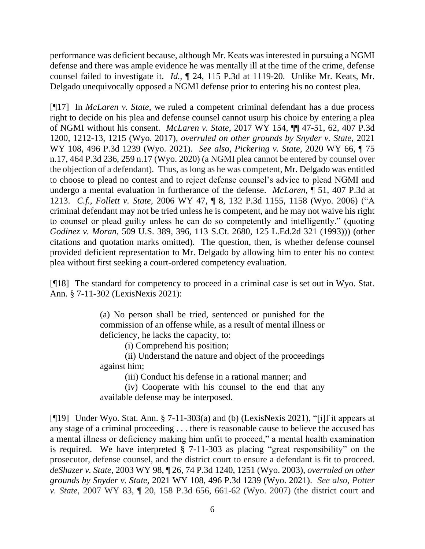performance was deficient because, although Mr. Keats was interested in pursuing a NGMI defense and there was ample evidence he was mentally ill at the time of the crime, defense counsel failed to investigate it. *Id.,* ¶ 24, 115 P.3d at 1119-20. Unlike Mr. Keats, Mr. Delgado unequivocally opposed a NGMI defense prior to entering his no contest plea.

[¶17] In *McLaren v. State,* we ruled a competent criminal defendant has a due process right to decide on his plea and defense counsel cannot usurp his choice by entering a plea of NGMI without his consent. *McLaren v. State,* 2017 WY 154, ¶¶ 47-51, 62, 407 P.3d 1200, 1212-13, 1215 (Wyo. 2017), *overruled on other grounds by Snyder v. State,* 2021 WY 108, 496 P.3d 1239 (Wyo. 2021). *See also, Pickering v. State,* 2020 WY 66, ¶ 75 n.17, 464 P.3d 236, 259 n.17 (Wyo. 2020) (a NGMI plea cannot be entered by counsel over the objection of a defendant). Thus, as long as he was competent, Mr. Delgado was entitled to choose to plead no contest and to reject defense counsel's advice to plead NGMI and undergo a mental evaluation in furtherance of the defense. *McLaren,* ¶ 51, 407 P.3d at 1213. *C.f., Follett v. State,* 2006 WY 47, ¶ 8, 132 P.3d 1155, 1158 (Wyo. 2006) ("A criminal defendant may not be tried unless he is competent, and he may not waive his right to counsel or plead guilty unless he can do so competently and intelligently." (quoting *Godinez v. Moran*, 509 U.S. 389, 396, 113 S.Ct. 2680, 125 L.Ed.2d 321 (1993))) (other citations and quotation marks omitted). The question, then, is whether defense counsel provided deficient representation to Mr. Delgado by allowing him to enter his no contest plea without first seeking a court-ordered competency evaluation.

[¶18] The standard for competency to proceed in a criminal case is set out in Wyo. Stat. Ann. § 7-11-302 (LexisNexis 2021):

> (a) No person shall be tried, sentenced or punished for the commission of an offense while, as a result of mental illness or deficiency, he lacks the capacity, to:

> > (i) Comprehend his position;

(ii) Understand the nature and object of the proceedings against him;

(iii) Conduct his defense in a rational manner; and

(iv) Cooperate with his counsel to the end that any available defense may be interposed.

[¶19] Under Wyo. Stat. Ann. § 7-11-303(a) and (b) (LexisNexis 2021), "[i]f it appears at any stage of a criminal proceeding . . . there is reasonable cause to believe the accused has a mental illness or deficiency making him unfit to proceed," a mental health examination is required. We have interpreted § 7-11-303 as placing "great responsibility" on the prosecutor, defense counsel, and the district court to ensure a defendant is fit to proceed. *deShazer v. State,* 2003 WY 98, ¶ 26, 74 P.3d 1240, 1251 (Wyo. 2003), *overruled on other grounds by Snyder v. State,* 2021 WY 108, 496 P.3d 1239 (Wyo. 2021). *See also, Potter v. State,* 2007 WY 83, ¶ 20, 158 P.3d 656, 661-62 (Wyo. 2007) (the district court and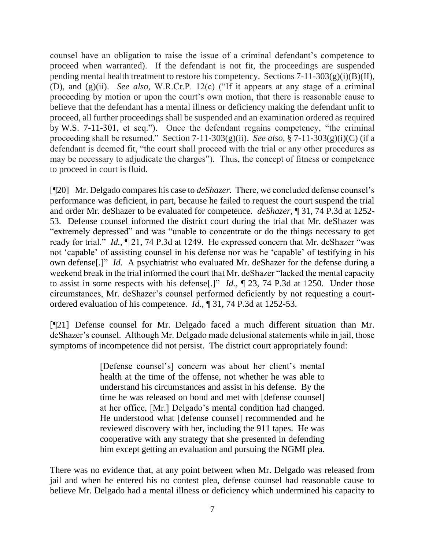counsel have an obligation to raise the issue of a criminal defendant's competence to proceed when warranted). If the defendant is not fit, the proceedings are suspended pending mental health treatment to restore his competency. Sections  $7-11-303(g)(i)(B)(II)$ , (D), and (g)(ii). *See also,* W.R.Cr.P. 12(c) ("If it appears at any stage of a criminal proceeding by motion or upon the court's own motion, that there is reasonable cause to believe that the defendant has a mental illness or deficiency making the defendant unfit to proceed, all further proceedings shall be suspended and an examination ordered as required by W.S. 7-11-301, et seq."). Once the defendant regains competency, "the criminal proceeding shall be resumed." Section 7-11-303(g)(ii). *See also,* § 7-11-303(g)(i)(C) (if a defendant is deemed fit, "the court shall proceed with the trial or any other procedures as may be necessary to adjudicate the charges"). Thus, the concept of fitness or competence to proceed in court is fluid.

[¶20] Mr. Delgado compares his case to *deShazer.* There, we concluded defense counsel's performance was deficient, in part, because he failed to request the court suspend the trial and order Mr. deShazer to be evaluated for competence. *deShazer,* ¶ 31, 74 P.3d at 1252- 53. Defense counsel informed the district court during the trial that Mr. deShazer was "extremely depressed" and was "unable to concentrate or do the things necessary to get ready for trial." *Id.,* ¶ 21, 74 P.3d at 1249. He expressed concern that Mr. deShazer "was not 'capable' of assisting counsel in his defense nor was he 'capable' of testifying in his own defense[.]" *Id.* A psychiatrist who evaluated Mr. deShazer for the defense during a weekend break in the trial informed the court that Mr. deShazer "lacked the mental capacity to assist in some respects with his defense[.]" *Id.,* ¶ 23, 74 P.3d at 1250. Under those circumstances, Mr. deShazer's counsel performed deficiently by not requesting a courtordered evaluation of his competence. *Id.*, ¶ 31, 74 P.3d at 1252-53.

[¶21] Defense counsel for Mr. Delgado faced a much different situation than Mr. deShazer's counsel. Although Mr. Delgado made delusional statements while in jail, those symptoms of incompetence did not persist. The district court appropriately found:

> [Defense counsel's] concern was about her client's mental health at the time of the offense, not whether he was able to understand his circumstances and assist in his defense. By the time he was released on bond and met with [defense counsel] at her office, [Mr.] Delgado's mental condition had changed. He understood what [defense counsel] recommended and he reviewed discovery with her, including the 911 tapes. He was cooperative with any strategy that she presented in defending him except getting an evaluation and pursuing the NGMI plea.

There was no evidence that, at any point between when Mr. Delgado was released from jail and when he entered his no contest plea, defense counsel had reasonable cause to believe Mr. Delgado had a mental illness or deficiency which undermined his capacity to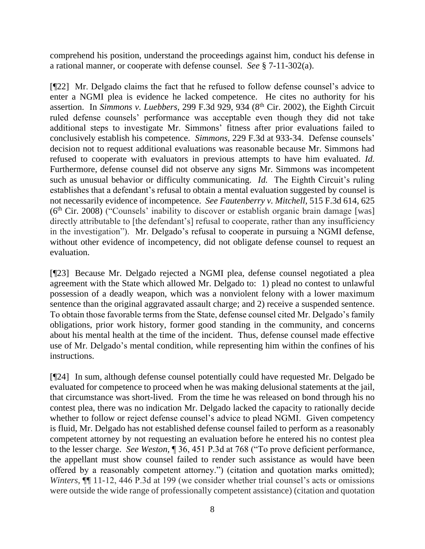comprehend his position, understand the proceedings against him, conduct his defense in a rational manner, or cooperate with defense counsel. *See* § 7-11-302(a).

[¶22] Mr. Delgado claims the fact that he refused to follow defense counsel's advice to enter a NGMI plea is evidence he lacked competence. He cites no authority for his assertion. In *Simmons v. Luebbers,* 299 F.3d 929, 934 (8th Cir. 2002), the Eighth Circuit ruled defense counsels' performance was acceptable even though they did not take additional steps to investigate Mr. Simmons' fitness after prior evaluations failed to conclusively establish his competence. *Simmons,* 229 F.3d at 933-34. Defense counsels' decision not to request additional evaluations was reasonable because Mr. Simmons had refused to cooperate with evaluators in previous attempts to have him evaluated. *Id.*  Furthermore, defense counsel did not observe any signs Mr. Simmons was incompetent such as unusual behavior or difficulty communicating. *Id.* The Eighth Circuit's ruling establishes that a defendant's refusal to obtain a mental evaluation suggested by counsel is not necessarily evidence of incompetence. *See Fautenberry v. Mitchell,* 515 F.3d 614, 625  $(6<sup>th</sup> Cir. 2008)$  ("Counsels' inability to discover or establish organic brain damage [was] directly attributable to [the defendant's] refusal to cooperate, rather than any insufficiency in the investigation"). Mr. Delgado's refusal to cooperate in pursuing a NGMI defense, without other evidence of incompetency, did not obligate defense counsel to request an evaluation.

[¶23] Because Mr. Delgado rejected a NGMI plea, defense counsel negotiated a plea agreement with the State which allowed Mr. Delgado to: 1) plead no contest to unlawful possession of a deadly weapon, which was a nonviolent felony with a lower maximum sentence than the original aggravated assault charge; and 2) receive a suspended sentence. To obtain those favorable terms from the State, defense counsel cited Mr. Delgado's family obligations, prior work history, former good standing in the community, and concerns about his mental health at the time of the incident. Thus, defense counsel made effective use of Mr. Delgado's mental condition, while representing him within the confines of his instructions.

[¶24] In sum, although defense counsel potentially could have requested Mr. Delgado be evaluated for competence to proceed when he was making delusional statements at the jail, that circumstance was short-lived. From the time he was released on bond through his no contest plea, there was no indication Mr. Delgado lacked the capacity to rationally decide whether to follow or reject defense counsel's advice to plead NGMI. Given competency is fluid, Mr. Delgado has not established defense counsel failed to perform as a reasonably competent attorney by not requesting an evaluation before he entered his no contest plea to the lesser charge. *See Weston,* ¶ 36, 451 P.3d at 768 ("To prove deficient performance, the appellant must show counsel failed to render such assistance as would have been offered by a reasonably competent attorney.") (citation and quotation marks omitted); *Winters*, ¶¶ 11-12, 446 P.3d at 199 (we consider whether trial counsel's acts or omissions were outside the wide range of professionally competent assistance) (citation and quotation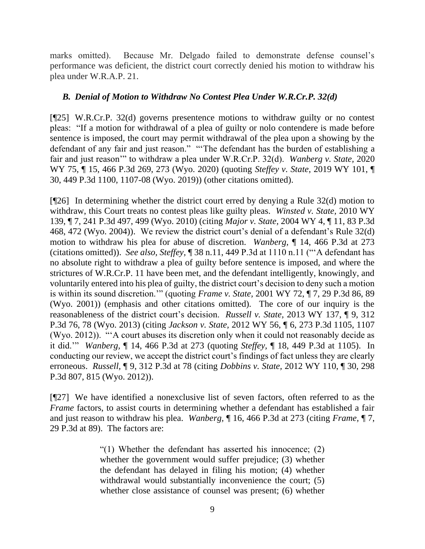marks omitted). Because Mr. Delgado failed to demonstrate defense counsel's performance was deficient, the district court correctly denied his motion to withdraw his plea under W.R.A.P. 21.

### *B. Denial of Motion to Withdraw No Contest Plea Under W.R.Cr.P. 32(d)*

[¶25] W.R.Cr.P. 32(d) governs presentence motions to withdraw guilty or no contest pleas: "If a motion for withdrawal of a plea of guilty or nolo contendere is made before sentence is imposed, the court may permit withdrawal of the plea upon a showing by the defendant of any fair and just reason." "'The defendant has the burden of establishing a fair and just reason'" to withdraw a plea under W.R.Cr.P. 32(d). *Wanberg v. State,* 2020 WY 75, ¶ 15, 466 P.3d 269, 273 (Wyo. 2020) (quoting *Steffey v. State*, 2019 WY 101, ¶ 30, 449 P.3d 1100, 1107-08 (Wyo. 2019)) (other citations omitted).

[¶26] In determining whether the district court erred by denying a Rule 32(d) motion to withdraw, this Court treats no contest pleas like guilty pleas. *Winsted v. State,* 2010 WY 139, ¶ 7, 241 P.3d 497, 499 (Wyo. 2010) (citing *Major v. State,* 2004 WY 4, ¶ 11, 83 P.3d 468, 472 (Wyo. 2004)). We review the district court's denial of a defendant's Rule 32(d) motion to withdraw his plea for abuse of discretion. *Wanberg,* ¶ 14, 466 P.3d at 273 (citations omitted)). *See also, Steffey,* ¶ 38 n.11, 449 P.3d at 1110 n.11 ("'A defendant has no absolute right to withdraw a plea of guilty before sentence is imposed, and where the strictures of W.R.Cr.P. 11 have been met, and the defendant intelligently, knowingly, and voluntarily entered into his plea of guilty, the district court's decision to deny such a motion is within its sound discretion.'" (quoting *Frame v. State,* 2001 WY 72, ¶ 7, 29 P.3d 86, 89 (Wyo. 2001)) (emphasis and other citations omitted). The core of our inquiry is the reasonableness of the district court's decision. *Russell v. State,* 2013 WY 137, ¶ 9, 312 P.3d 76, 78 (Wyo. 2013) (citing *Jackson v. State,* 2012 WY 56, ¶ 6, 273 P.3d 1105, 1107 (Wyo. 2012)). "'A court abuses its discretion only when it could not reasonably decide as it did.'" *Wanberg,* ¶ 14, 466 P.3d at 273 (quoting *Steffey,* ¶ 18, 449 P.3d at 1105). In conducting our review, we accept the district court's findings of fact unless they are clearly erroneous. *Russell,* ¶ 9, 312 P.3d at 78 (citing *Dobbins v. State,* 2012 WY 110, ¶ 30, 298 P.3d 807, 815 (Wyo. 2012)).

[¶27] We have identified a nonexclusive list of seven factors, often referred to as the *Frame* factors, to assist courts in determining whether a defendant has established a fair and just reason to withdraw his plea. *Wanberg,* ¶ 16, 466 P.3d at 273 (citing *Frame,* ¶ 7, 29 P.3d at 89). The factors are:

> "(1) Whether the defendant has asserted his innocence; (2) whether the government would suffer prejudice; (3) whether the defendant has delayed in filing his motion; (4) whether withdrawal would substantially inconvenience the court; (5) whether close assistance of counsel was present; (6) whether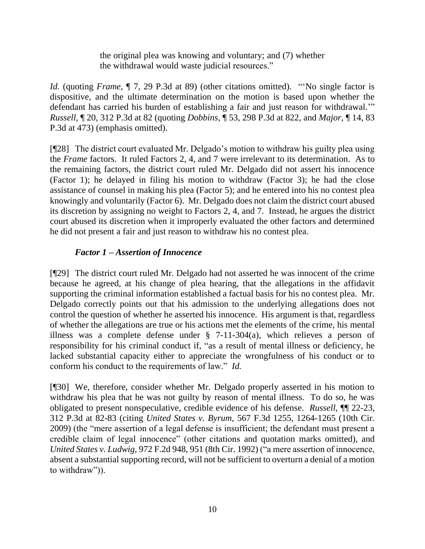the original plea was knowing and voluntary; and (7) whether the withdrawal would waste judicial resources."

*Id.* (quoting *Frame,*  $\P$  7, 29 P.3d at 89) (other citations omitted). "No single factor is dispositive, and the ultimate determination on the motion is based upon whether the defendant has carried his burden of establishing a fair and just reason for withdrawal.'" *Russell,* ¶ 20, 312 P.3d at 82 (quoting *Dobbins,* ¶ 53, 298 P.3d at 822, and *Major*, ¶ 14, 83 P.3d at 473) (emphasis omitted).

[¶28] The district court evaluated Mr. Delgado's motion to withdraw his guilty plea using the *Frame* factors. It ruled Factors 2, 4, and 7 were irrelevant to its determination. As to the remaining factors, the district court ruled Mr. Delgado did not assert his innocence (Factor 1); he delayed in filing his motion to withdraw (Factor 3); he had the close assistance of counsel in making his plea (Factor 5); and he entered into his no contest plea knowingly and voluntarily (Factor 6). Mr. Delgado does not claim the district court abused its discretion by assigning no weight to Factors 2, 4, and 7. Instead, he argues the district court abused its discretion when it improperly evaluated the other factors and determined he did not present a fair and just reason to withdraw his no contest plea.

# *Factor 1 – Assertion of Innocence*

[¶29] The district court ruled Mr. Delgado had not asserted he was innocent of the crime because he agreed, at his change of plea hearing, that the allegations in the affidavit supporting the criminal information established a factual basis for his no contest plea. Mr. Delgado correctly points out that his admission to the underlying allegations does not control the question of whether he asserted his innocence. His argument is that, regardless of whether the allegations are true or his actions met the elements of the crime, his mental illness was a complete defense under § 7-11-304(a), which relieves a person of responsibility for his criminal conduct if, "as a result of mental illness or deficiency, he lacked substantial capacity either to appreciate the wrongfulness of his conduct or to conform his conduct to the requirements of law." *Id.* 

[¶30] We, therefore, consider whether Mr. Delgado properly asserted in his motion to withdraw his plea that he was not guilty by reason of mental illness. To do so, he was obligated to present nonspeculative, credible evidence of his defense. *Russell,* ¶¶ 22-23, 312 P.3d at 82-83 (citing *United States v. Byrum,* 567 F.3d 1255, 1264-1265 (10th Cir. 2009) (the "mere assertion of a legal defense is insufficient; the defendant must present a credible claim of legal innocence" (other citations and quotation marks omitted), and *United States v. Ludwig,* 972 F.2d 948, 951 (8th Cir. 1992) ("a mere assertion of innocence, absent a substantial supporting record, will not be sufficient to overturn a denial of a motion to withdraw")).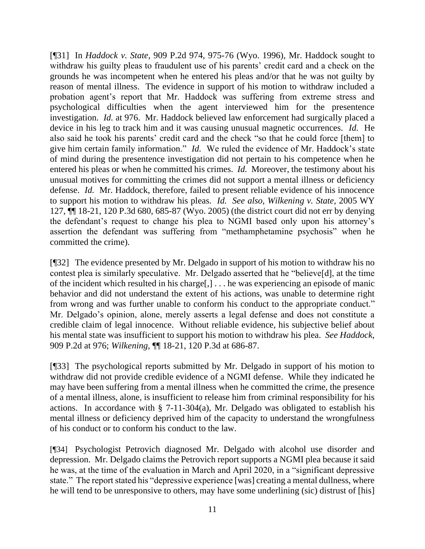[¶31] In *Haddock v. State,* 909 P.2d 974, 975-76 (Wyo. 1996), Mr. Haddock sought to withdraw his guilty pleas to fraudulent use of his parents' credit card and a check on the grounds he was incompetent when he entered his pleas and/or that he was not guilty by reason of mental illness. The evidence in support of his motion to withdraw included a probation agent's report that Mr. Haddock was suffering from extreme stress and psychological difficulties when the agent interviewed him for the presentence investigation. *Id.* at 976. Mr. Haddock believed law enforcement had surgically placed a device in his leg to track him and it was causing unusual magnetic occurrences. *Id.* He also said he took his parents' credit card and the check "so that he could force [them] to give him certain family information." *Id.* We ruled the evidence of Mr. Haddock's state of mind during the presentence investigation did not pertain to his competence when he entered his pleas or when he committed his crimes. *Id.* Moreover, the testimony about his unusual motives for committing the crimes did not support a mental illness or deficiency defense. *Id.* Mr. Haddock, therefore, failed to present reliable evidence of his innocence to support his motion to withdraw his pleas. *Id. See also, Wilkening v. State,* 2005 WY 127, ¶¶ 18-21, 120 P.3d 680, 685-87 (Wyo. 2005) (the district court did not err by denying the defendant's request to change his plea to NGMI based only upon his attorney's assertion the defendant was suffering from "methamphetamine psychosis" when he committed the crime).

[¶32] The evidence presented by Mr. Delgado in support of his motion to withdraw his no contest plea is similarly speculative. Mr. Delgado asserted that he "believe[d], at the time of the incident which resulted in his charge[,]  $\dots$  he was experiencing an episode of manic behavior and did not understand the extent of his actions, was unable to determine right from wrong and was further unable to conform his conduct to the appropriate conduct." Mr. Delgado's opinion, alone, merely asserts a legal defense and does not constitute a credible claim of legal innocence. Without reliable evidence, his subjective belief about his mental state was insufficient to support his motion to withdraw his plea. *See Haddock,*  909 P.2d at 976; *Wilkening,* ¶¶ 18-21, 120 P.3d at 686-87.

[¶33] The psychological reports submitted by Mr. Delgado in support of his motion to withdraw did not provide credible evidence of a NGMI defense. While they indicated he may have been suffering from a mental illness when he committed the crime, the presence of a mental illness, alone, is insufficient to release him from criminal responsibility for his actions. In accordance with  $\S$  7-11-304(a), Mr. Delgado was obligated to establish his mental illness or deficiency deprived him of the capacity to understand the wrongfulness of his conduct or to conform his conduct to the law.

[¶34] Psychologist Petrovich diagnosed Mr. Delgado with alcohol use disorder and depression. Mr. Delgado claims the Petrovich report supports a NGMI plea because it said he was, at the time of the evaluation in March and April 2020, in a "significant depressive state." The report stated his "depressive experience [was] creating a mental dullness, where he will tend to be unresponsive to others, may have some underlining (sic) distrust of [his]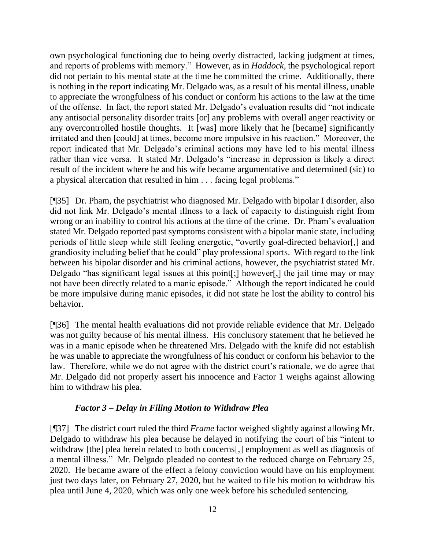own psychological functioning due to being overly distracted, lacking judgment at times, and reports of problems with memory." However, as in *Haddock,* the psychological report did not pertain to his mental state at the time he committed the crime. Additionally, there is nothing in the report indicating Mr. Delgado was, as a result of his mental illness, unable to appreciate the wrongfulness of his conduct or conform his actions to the law at the time of the offense. In fact, the report stated Mr. Delgado's evaluation results did "not indicate any antisocial personality disorder traits [or] any problems with overall anger reactivity or any overcontrolled hostile thoughts. It [was] more likely that he [became] significantly irritated and then [could] at times, become more impulsive in his reaction." Moreover, the report indicated that Mr. Delgado's criminal actions may have led to his mental illness rather than vice versa. It stated Mr. Delgado's "increase in depression is likely a direct result of the incident where he and his wife became argumentative and determined (sic) to a physical altercation that resulted in him . . . facing legal problems."

[¶35] Dr. Pham, the psychiatrist who diagnosed Mr. Delgado with bipolar I disorder, also did not link Mr. Delgado's mental illness to a lack of capacity to distinguish right from wrong or an inability to control his actions at the time of the crime. Dr. Pham's evaluation stated Mr. Delgado reported past symptoms consistent with a bipolar manic state, including periods of little sleep while still feeling energetic, "overtly goal-directed behavior[,] and grandiosity including belief that he could" play professional sports. With regard to the link between his bipolar disorder and his criminal actions, however, the psychiatrist stated Mr. Delgado "has significant legal issues at this point[;] however[,] the jail time may or may not have been directly related to a manic episode." Although the report indicated he could be more impulsive during manic episodes, it did not state he lost the ability to control his behavior.

[¶36] The mental health evaluations did not provide reliable evidence that Mr. Delgado was not guilty because of his mental illness. His conclusory statement that he believed he was in a manic episode when he threatened Mrs. Delgado with the knife did not establish he was unable to appreciate the wrongfulness of his conduct or conform his behavior to the law. Therefore, while we do not agree with the district court's rationale, we do agree that Mr. Delgado did not properly assert his innocence and Factor 1 weighs against allowing him to withdraw his plea.

# *Factor 3 – Delay in Filing Motion to Withdraw Plea*

[¶37] The district court ruled the third *Frame* factor weighed slightly against allowing Mr. Delgado to withdraw his plea because he delayed in notifying the court of his "intent to withdraw [the] plea herein related to both concerns[,] employment as well as diagnosis of a mental illness." Mr. Delgado pleaded no contest to the reduced charge on February 25, 2020. He became aware of the effect a felony conviction would have on his employment just two days later, on February 27, 2020, but he waited to file his motion to withdraw his plea until June 4, 2020, which was only one week before his scheduled sentencing.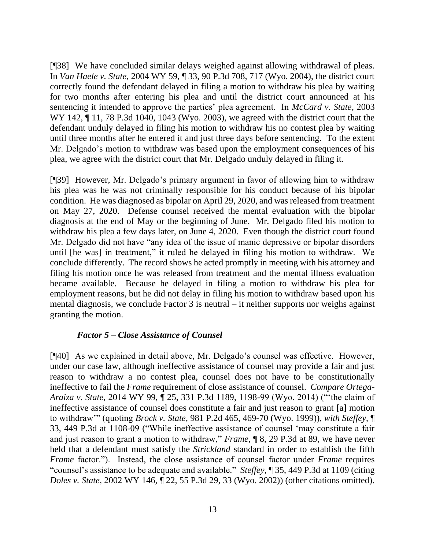[¶38] We have concluded similar delays weighed against allowing withdrawal of pleas. In *Van Haele v. State,* 2004 WY 59, ¶ 33, 90 P.3d 708, 717 (Wyo. 2004), the district court correctly found the defendant delayed in filing a motion to withdraw his plea by waiting for two months after entering his plea and until the district court announced at his sentencing it intended to approve the parties' plea agreement. In *McCard v. State,* 2003 WY 142, ¶ 11, 78 P.3d 1040, 1043 (Wyo. 2003), we agreed with the district court that the defendant unduly delayed in filing his motion to withdraw his no contest plea by waiting until three months after he entered it and just three days before sentencing. To the extent Mr. Delgado's motion to withdraw was based upon the employment consequences of his plea, we agree with the district court that Mr. Delgado unduly delayed in filing it.

[¶39] However, Mr. Delgado's primary argument in favor of allowing him to withdraw his plea was he was not criminally responsible for his conduct because of his bipolar condition. He was diagnosed as bipolar on April 29, 2020, and was released from treatment on May 27, 2020. Defense counsel received the mental evaluation with the bipolar diagnosis at the end of May or the beginning of June. Mr. Delgado filed his motion to withdraw his plea a few days later, on June 4, 2020. Even though the district court found Mr. Delgado did not have "any idea of the issue of manic depressive or bipolar disorders until [he was] in treatment," it ruled he delayed in filing his motion to withdraw. We conclude differently. The record shows he acted promptly in meeting with his attorney and filing his motion once he was released from treatment and the mental illness evaluation became available. Because he delayed in filing a motion to withdraw his plea for employment reasons, but he did not delay in filing his motion to withdraw based upon his mental diagnosis, we conclude Factor 3 is neutral – it neither supports nor weighs against granting the motion.

#### *Factor 5 – Close Assistance of Counsel*

[¶40] As we explained in detail above, Mr. Delgado's counsel was effective. However, under our case law, although ineffective assistance of counsel may provide a fair and just reason to withdraw a no contest plea, counsel does not have to be constitutionally ineffective to fail the *Frame* requirement of close assistance of counsel. *Compare Ortega-Araiza v. State,* 2014 WY 99, ¶ 25, 331 P.3d 1189, 1198-99 (Wyo. 2014) ("'the claim of ineffective assistance of counsel does constitute a fair and just reason to grant [a] motion to withdraw'" (quoting *Brock v. State,* 981 P.2d 465, 469-70 (Wyo. 1999)), *with Steffey,* ¶ 33, 449 P.3d at 1108-09 ("While ineffective assistance of counsel 'may constitute a fair and just reason to grant a motion to withdraw," *Frame*, ¶ 8, 29 P.3d at 89, we have never held that a defendant must satisfy the *Strickland* standard in order to establish the fifth *Frame* factor."). Instead, the close assistance of counsel factor under *Frame* requires "counsel's assistance to be adequate and available." *Steffey,* ¶ 35, 449 P.3d at 1109 (citing *Doles v. State*, 2002 WY 146, ¶ 22, 55 P.3d 29, 33 (Wyo. 2002)) (other citations omitted).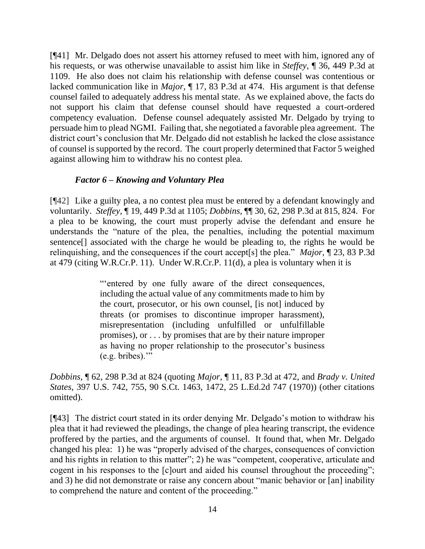[¶41] Mr. Delgado does not assert his attorney refused to meet with him, ignored any of his requests, or was otherwise unavailable to assist him like in *Steffey,* ¶ 36, 449 P.3d at 1109. He also does not claim his relationship with defense counsel was contentious or lacked communication like in *Major,* ¶ 17, 83 P.3d at 474. His argument is that defense counsel failed to adequately address his mental state. As we explained above, the facts do not support his claim that defense counsel should have requested a court-ordered competency evaluation. Defense counsel adequately assisted Mr. Delgado by trying to persuade him to plead NGMI. Failing that, she negotiated a favorable plea agreement. The district court's conclusion that Mr. Delgado did not establish he lacked the close assistance of counsel is supported by the record. The court properly determined that Factor 5 weighed against allowing him to withdraw his no contest plea.

# *Factor 6 – Knowing and Voluntary Plea*

[¶42] Like a guilty plea, a no contest plea must be entered by a defendant knowingly and voluntarily. *Steffey,* ¶ 19, 449 P.3d at 1105; *Dobbins,* ¶¶ 30, 62, 298 P.3d at 815, 824. For a plea to be knowing, the court must properly advise the defendant and ensure he understands the "nature of the plea, the penalties, including the potential maximum sentence[] associated with the charge he would be pleading to, the rights he would be relinquishing, and the consequences if the court accept[s] the plea." *Major,* ¶ 23, 83 P.3d at 479 (citing W.R.Cr.P. 11). Under W.R.Cr.P. 11(d), a plea is voluntary when it is

> "'entered by one fully aware of the direct consequences, including the actual value of any commitments made to him by the court, prosecutor, or his own counsel, [is not] induced by threats (or promises to discontinue improper harassment), misrepresentation (including unfulfilled or unfulfillable promises), or . . . by promises that are by their nature improper as having no proper relationship to the prosecutor's business  $(e.g.  bribes).$ "

*Dobbins,* ¶ 62, 298 P.3d at 824 (quoting *Major,* ¶ 11, 83 P.3d at 472, and *Brady v. United States*, 397 U.S. 742, 755, 90 S.Ct. 1463, 1472, 25 L.Ed.2d 747 (1970)) (other citations omitted).

[¶43] The district court stated in its order denying Mr. Delgado's motion to withdraw his plea that it had reviewed the pleadings, the change of plea hearing transcript, the evidence proffered by the parties, and the arguments of counsel. It found that, when Mr. Delgado changed his plea: 1) he was "properly advised of the charges, consequences of conviction and his rights in relation to this matter"; 2) he was "competent, cooperative, articulate and cogent in his responses to the [c]ourt and aided his counsel throughout the proceeding"; and 3) he did not demonstrate or raise any concern about "manic behavior or [an] inability to comprehend the nature and content of the proceeding."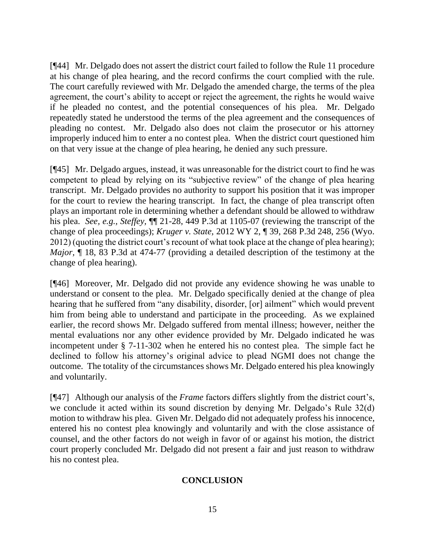[¶44] Mr. Delgado does not assert the district court failed to follow the Rule 11 procedure at his change of plea hearing, and the record confirms the court complied with the rule. The court carefully reviewed with Mr. Delgado the amended charge, the terms of the plea agreement, the court's ability to accept or reject the agreement, the rights he would waive if he pleaded no contest, and the potential consequences of his plea. Mr. Delgado repeatedly stated he understood the terms of the plea agreement and the consequences of pleading no contest. Mr. Delgado also does not claim the prosecutor or his attorney improperly induced him to enter a no contest plea. When the district court questioned him on that very issue at the change of plea hearing, he denied any such pressure.

[¶45] Mr. Delgado argues, instead, it was unreasonable for the district court to find he was competent to plead by relying on its "subjective review" of the change of plea hearing transcript. Mr. Delgado provides no authority to support his position that it was improper for the court to review the hearing transcript. In fact, the change of plea transcript often plays an important role in determining whether a defendant should be allowed to withdraw his plea. *See, e.g., Steffey,* ¶¶ 21-28, 449 P.3d at 1105-07 (reviewing the transcript of the change of plea proceedings); *Kruger v. State,* 2012 WY 2, ¶ 39, 268 P.3d 248, 256 (Wyo. 2012) (quoting the district court's recount of what took place at the change of plea hearing); *Major*,  $\P$  18, 83 P.3d at 474-77 (providing a detailed description of the testimony at the change of plea hearing).

[¶46] Moreover, Mr. Delgado did not provide any evidence showing he was unable to understand or consent to the plea. Mr. Delgado specifically denied at the change of plea hearing that he suffered from "any disability, disorder, [or] ailment" which would prevent him from being able to understand and participate in the proceeding. As we explained earlier, the record shows Mr. Delgado suffered from mental illness; however, neither the mental evaluations nor any other evidence provided by Mr. Delgado indicated he was incompetent under § 7-11-302 when he entered his no contest plea. The simple fact he declined to follow his attorney's original advice to plead NGMI does not change the outcome. The totality of the circumstances shows Mr. Delgado entered his plea knowingly and voluntarily.

[¶47] Although our analysis of the *Frame* factors differs slightly from the district court's, we conclude it acted within its sound discretion by denying Mr. Delgado's Rule 32(d) motion to withdraw his plea. Given Mr. Delgado did not adequately profess his innocence, entered his no contest plea knowingly and voluntarily and with the close assistance of counsel, and the other factors do not weigh in favor of or against his motion, the district court properly concluded Mr. Delgado did not present a fair and just reason to withdraw his no contest plea.

# **CONCLUSION**